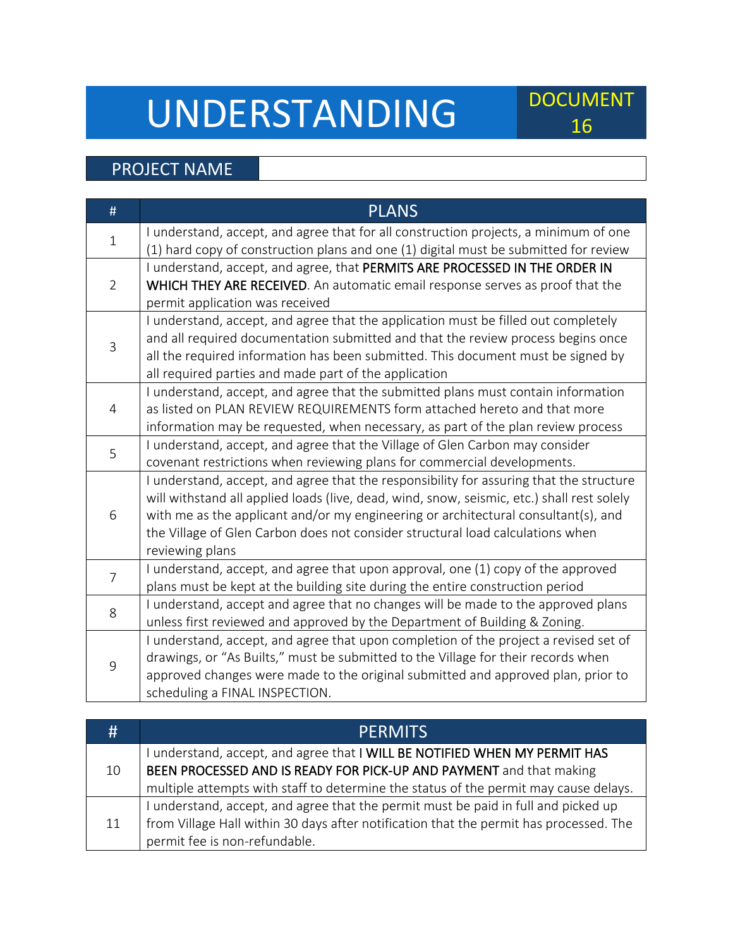## UNDERSTANDING DOCUMENT

## 16

## PROJECT NAME

| I understand, accept, and agree that for all construction projects, a minimum of one<br>$\mathbf{1}$<br>(1) hard copy of construction plans and one (1) digital must be submitted for review<br>I understand, accept, and agree, that PERMITS ARE PROCESSED IN THE ORDER IN<br>$\overline{2}$<br>WHICH THEY ARE RECEIVED. An automatic email response serves as proof that the<br>permit application was received<br>I understand, accept, and agree that the application must be filled out completely<br>and all required documentation submitted and that the review process begins once<br>$\overline{3}$<br>all the required information has been submitted. This document must be signed by<br>all required parties and made part of the application<br>I understand, accept, and agree that the submitted plans must contain information<br>as listed on PLAN REVIEW REQUIREMENTS form attached hereto and that more<br>$\overline{4}$<br>information may be requested, when necessary, as part of the plan review process<br>I understand, accept, and agree that the Village of Glen Carbon may consider<br>5<br>covenant restrictions when reviewing plans for commercial developments.<br>I understand, accept, and agree that the responsibility for assuring that the structure<br>will withstand all applied loads (live, dead, wind, snow, seismic, etc.) shall rest solely<br>with me as the applicant and/or my engineering or architectural consultant(s), and<br>6<br>the Village of Glen Carbon does not consider structural load calculations when<br>reviewing plans<br>I understand, accept, and agree that upon approval, one (1) copy of the approved<br>$\overline{7}$<br>plans must be kept at the building site during the entire construction period | # | <b>PLANS</b>                                                                      |
|-----------------------------------------------------------------------------------------------------------------------------------------------------------------------------------------------------------------------------------------------------------------------------------------------------------------------------------------------------------------------------------------------------------------------------------------------------------------------------------------------------------------------------------------------------------------------------------------------------------------------------------------------------------------------------------------------------------------------------------------------------------------------------------------------------------------------------------------------------------------------------------------------------------------------------------------------------------------------------------------------------------------------------------------------------------------------------------------------------------------------------------------------------------------------------------------------------------------------------------------------------------------------------------------------------------------------------------------------------------------------------------------------------------------------------------------------------------------------------------------------------------------------------------------------------------------------------------------------------------------------------------------------------------------------------------------------------------------------------------------------------------------------------------|---|-----------------------------------------------------------------------------------|
|                                                                                                                                                                                                                                                                                                                                                                                                                                                                                                                                                                                                                                                                                                                                                                                                                                                                                                                                                                                                                                                                                                                                                                                                                                                                                                                                                                                                                                                                                                                                                                                                                                                                                                                                                                                   |   |                                                                                   |
|                                                                                                                                                                                                                                                                                                                                                                                                                                                                                                                                                                                                                                                                                                                                                                                                                                                                                                                                                                                                                                                                                                                                                                                                                                                                                                                                                                                                                                                                                                                                                                                                                                                                                                                                                                                   |   |                                                                                   |
|                                                                                                                                                                                                                                                                                                                                                                                                                                                                                                                                                                                                                                                                                                                                                                                                                                                                                                                                                                                                                                                                                                                                                                                                                                                                                                                                                                                                                                                                                                                                                                                                                                                                                                                                                                                   |   |                                                                                   |
|                                                                                                                                                                                                                                                                                                                                                                                                                                                                                                                                                                                                                                                                                                                                                                                                                                                                                                                                                                                                                                                                                                                                                                                                                                                                                                                                                                                                                                                                                                                                                                                                                                                                                                                                                                                   |   |                                                                                   |
|                                                                                                                                                                                                                                                                                                                                                                                                                                                                                                                                                                                                                                                                                                                                                                                                                                                                                                                                                                                                                                                                                                                                                                                                                                                                                                                                                                                                                                                                                                                                                                                                                                                                                                                                                                                   |   |                                                                                   |
|                                                                                                                                                                                                                                                                                                                                                                                                                                                                                                                                                                                                                                                                                                                                                                                                                                                                                                                                                                                                                                                                                                                                                                                                                                                                                                                                                                                                                                                                                                                                                                                                                                                                                                                                                                                   |   |                                                                                   |
|                                                                                                                                                                                                                                                                                                                                                                                                                                                                                                                                                                                                                                                                                                                                                                                                                                                                                                                                                                                                                                                                                                                                                                                                                                                                                                                                                                                                                                                                                                                                                                                                                                                                                                                                                                                   |   |                                                                                   |
|                                                                                                                                                                                                                                                                                                                                                                                                                                                                                                                                                                                                                                                                                                                                                                                                                                                                                                                                                                                                                                                                                                                                                                                                                                                                                                                                                                                                                                                                                                                                                                                                                                                                                                                                                                                   |   |                                                                                   |
|                                                                                                                                                                                                                                                                                                                                                                                                                                                                                                                                                                                                                                                                                                                                                                                                                                                                                                                                                                                                                                                                                                                                                                                                                                                                                                                                                                                                                                                                                                                                                                                                                                                                                                                                                                                   |   |                                                                                   |
|                                                                                                                                                                                                                                                                                                                                                                                                                                                                                                                                                                                                                                                                                                                                                                                                                                                                                                                                                                                                                                                                                                                                                                                                                                                                                                                                                                                                                                                                                                                                                                                                                                                                                                                                                                                   |   |                                                                                   |
|                                                                                                                                                                                                                                                                                                                                                                                                                                                                                                                                                                                                                                                                                                                                                                                                                                                                                                                                                                                                                                                                                                                                                                                                                                                                                                                                                                                                                                                                                                                                                                                                                                                                                                                                                                                   |   |                                                                                   |
|                                                                                                                                                                                                                                                                                                                                                                                                                                                                                                                                                                                                                                                                                                                                                                                                                                                                                                                                                                                                                                                                                                                                                                                                                                                                                                                                                                                                                                                                                                                                                                                                                                                                                                                                                                                   |   |                                                                                   |
|                                                                                                                                                                                                                                                                                                                                                                                                                                                                                                                                                                                                                                                                                                                                                                                                                                                                                                                                                                                                                                                                                                                                                                                                                                                                                                                                                                                                                                                                                                                                                                                                                                                                                                                                                                                   |   |                                                                                   |
|                                                                                                                                                                                                                                                                                                                                                                                                                                                                                                                                                                                                                                                                                                                                                                                                                                                                                                                                                                                                                                                                                                                                                                                                                                                                                                                                                                                                                                                                                                                                                                                                                                                                                                                                                                                   |   |                                                                                   |
|                                                                                                                                                                                                                                                                                                                                                                                                                                                                                                                                                                                                                                                                                                                                                                                                                                                                                                                                                                                                                                                                                                                                                                                                                                                                                                                                                                                                                                                                                                                                                                                                                                                                                                                                                                                   |   |                                                                                   |
|                                                                                                                                                                                                                                                                                                                                                                                                                                                                                                                                                                                                                                                                                                                                                                                                                                                                                                                                                                                                                                                                                                                                                                                                                                                                                                                                                                                                                                                                                                                                                                                                                                                                                                                                                                                   |   |                                                                                   |
|                                                                                                                                                                                                                                                                                                                                                                                                                                                                                                                                                                                                                                                                                                                                                                                                                                                                                                                                                                                                                                                                                                                                                                                                                                                                                                                                                                                                                                                                                                                                                                                                                                                                                                                                                                                   |   |                                                                                   |
|                                                                                                                                                                                                                                                                                                                                                                                                                                                                                                                                                                                                                                                                                                                                                                                                                                                                                                                                                                                                                                                                                                                                                                                                                                                                                                                                                                                                                                                                                                                                                                                                                                                                                                                                                                                   |   |                                                                                   |
|                                                                                                                                                                                                                                                                                                                                                                                                                                                                                                                                                                                                                                                                                                                                                                                                                                                                                                                                                                                                                                                                                                                                                                                                                                                                                                                                                                                                                                                                                                                                                                                                                                                                                                                                                                                   |   |                                                                                   |
|                                                                                                                                                                                                                                                                                                                                                                                                                                                                                                                                                                                                                                                                                                                                                                                                                                                                                                                                                                                                                                                                                                                                                                                                                                                                                                                                                                                                                                                                                                                                                                                                                                                                                                                                                                                   |   |                                                                                   |
|                                                                                                                                                                                                                                                                                                                                                                                                                                                                                                                                                                                                                                                                                                                                                                                                                                                                                                                                                                                                                                                                                                                                                                                                                                                                                                                                                                                                                                                                                                                                                                                                                                                                                                                                                                                   |   |                                                                                   |
| 8                                                                                                                                                                                                                                                                                                                                                                                                                                                                                                                                                                                                                                                                                                                                                                                                                                                                                                                                                                                                                                                                                                                                                                                                                                                                                                                                                                                                                                                                                                                                                                                                                                                                                                                                                                                 |   | I understand, accept and agree that no changes will be made to the approved plans |
| unless first reviewed and approved by the Department of Building & Zoning.                                                                                                                                                                                                                                                                                                                                                                                                                                                                                                                                                                                                                                                                                                                                                                                                                                                                                                                                                                                                                                                                                                                                                                                                                                                                                                                                                                                                                                                                                                                                                                                                                                                                                                        |   |                                                                                   |
| I understand, accept, and agree that upon completion of the project a revised set of                                                                                                                                                                                                                                                                                                                                                                                                                                                                                                                                                                                                                                                                                                                                                                                                                                                                                                                                                                                                                                                                                                                                                                                                                                                                                                                                                                                                                                                                                                                                                                                                                                                                                              | 9 |                                                                                   |
| drawings, or "As Builts," must be submitted to the Village for their records when                                                                                                                                                                                                                                                                                                                                                                                                                                                                                                                                                                                                                                                                                                                                                                                                                                                                                                                                                                                                                                                                                                                                                                                                                                                                                                                                                                                                                                                                                                                                                                                                                                                                                                 |   |                                                                                   |
| approved changes were made to the original submitted and approved plan, prior to                                                                                                                                                                                                                                                                                                                                                                                                                                                                                                                                                                                                                                                                                                                                                                                                                                                                                                                                                                                                                                                                                                                                                                                                                                                                                                                                                                                                                                                                                                                                                                                                                                                                                                  |   |                                                                                   |
| scheduling a FINAL INSPECTION.                                                                                                                                                                                                                                                                                                                                                                                                                                                                                                                                                                                                                                                                                                                                                                                                                                                                                                                                                                                                                                                                                                                                                                                                                                                                                                                                                                                                                                                                                                                                                                                                                                                                                                                                                    |   |                                                                                   |

| #  | <b>PERMITS</b>                                                                         |
|----|----------------------------------------------------------------------------------------|
| 10 | I understand, accept, and agree that I WILL BE NOTIFIED WHEN MY PERMIT HAS             |
|    | BEEN PROCESSED AND IS READY FOR PICK-UP AND PAYMENT and that making                    |
|    | multiple attempts with staff to determine the status of the permit may cause delays.   |
| 11 | I understand, accept, and agree that the permit must be paid in full and picked up     |
|    | from Village Hall within 30 days after notification that the permit has processed. The |
|    | permit fee is non-refundable.                                                          |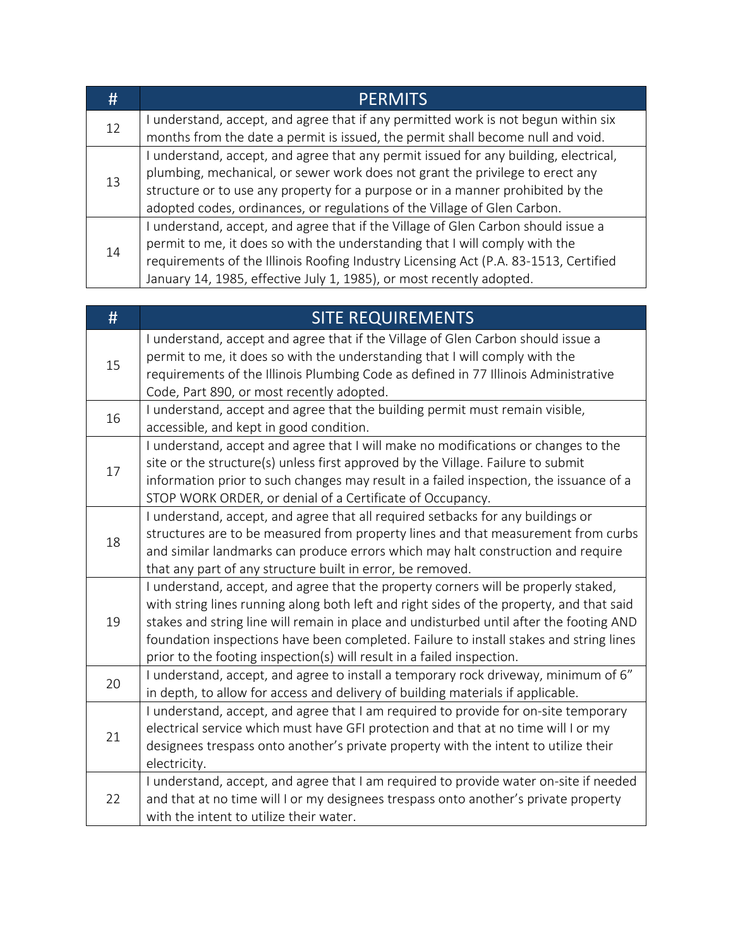| #  | <b>PERMITS</b>                                                                       |
|----|--------------------------------------------------------------------------------------|
| 12 | I understand, accept, and agree that if any permitted work is not begun within six   |
|    | months from the date a permit is issued, the permit shall become null and void.      |
| 13 | I understand, accept, and agree that any permit issued for any building, electrical, |
|    | plumbing, mechanical, or sewer work does not grant the privilege to erect any        |
|    | structure or to use any property for a purpose or in a manner prohibited by the      |
|    | adopted codes, ordinances, or regulations of the Village of Glen Carbon.             |
| 14 | I understand, accept, and agree that if the Village of Glen Carbon should issue a    |
|    | permit to me, it does so with the understanding that I will comply with the          |
|    | requirements of the Illinois Roofing Industry Licensing Act (P.A. 83-1513, Certified |
|    | January 14, 1985, effective July 1, 1985), or most recently adopted.                 |

| #  | <b>SITE REQUIREMENTS</b>                                                                                                                                           |
|----|--------------------------------------------------------------------------------------------------------------------------------------------------------------------|
| 15 | I understand, accept and agree that if the Village of Glen Carbon should issue a                                                                                   |
|    | permit to me, it does so with the understanding that I will comply with the<br>requirements of the Illinois Plumbing Code as defined in 77 Illinois Administrative |
|    | Code, Part 890, or most recently adopted.                                                                                                                          |
| 16 | I understand, accept and agree that the building permit must remain visible,                                                                                       |
|    | accessible, and kept in good condition.                                                                                                                            |
|    | I understand, accept and agree that I will make no modifications or changes to the                                                                                 |
| 17 | site or the structure(s) unless first approved by the Village. Failure to submit                                                                                   |
|    | information prior to such changes may result in a failed inspection, the issuance of a                                                                             |
|    | STOP WORK ORDER, or denial of a Certificate of Occupancy.                                                                                                          |
|    | I understand, accept, and agree that all required setbacks for any buildings or                                                                                    |
| 18 | structures are to be measured from property lines and that measurement from curbs                                                                                  |
|    | and similar landmarks can produce errors which may halt construction and require                                                                                   |
|    | that any part of any structure built in error, be removed.                                                                                                         |
|    | I understand, accept, and agree that the property corners will be properly staked,                                                                                 |
|    | with string lines running along both left and right sides of the property, and that said                                                                           |
| 19 | stakes and string line will remain in place and undisturbed until after the footing AND                                                                            |
|    | foundation inspections have been completed. Failure to install stakes and string lines                                                                             |
|    | prior to the footing inspection(s) will result in a failed inspection.                                                                                             |
| 20 | I understand, accept, and agree to install a temporary rock driveway, minimum of 6"                                                                                |
|    | in depth, to allow for access and delivery of building materials if applicable.                                                                                    |
| 21 | I understand, accept, and agree that I am required to provide for on-site temporary                                                                                |
|    | electrical service which must have GFI protection and that at no time will I or my                                                                                 |
|    | designees trespass onto another's private property with the intent to utilize their                                                                                |
|    | electricity.                                                                                                                                                       |
|    | I understand, accept, and agree that I am required to provide water on-site if needed                                                                              |
| 22 | and that at no time will I or my designees trespass onto another's private property                                                                                |
|    | with the intent to utilize their water.                                                                                                                            |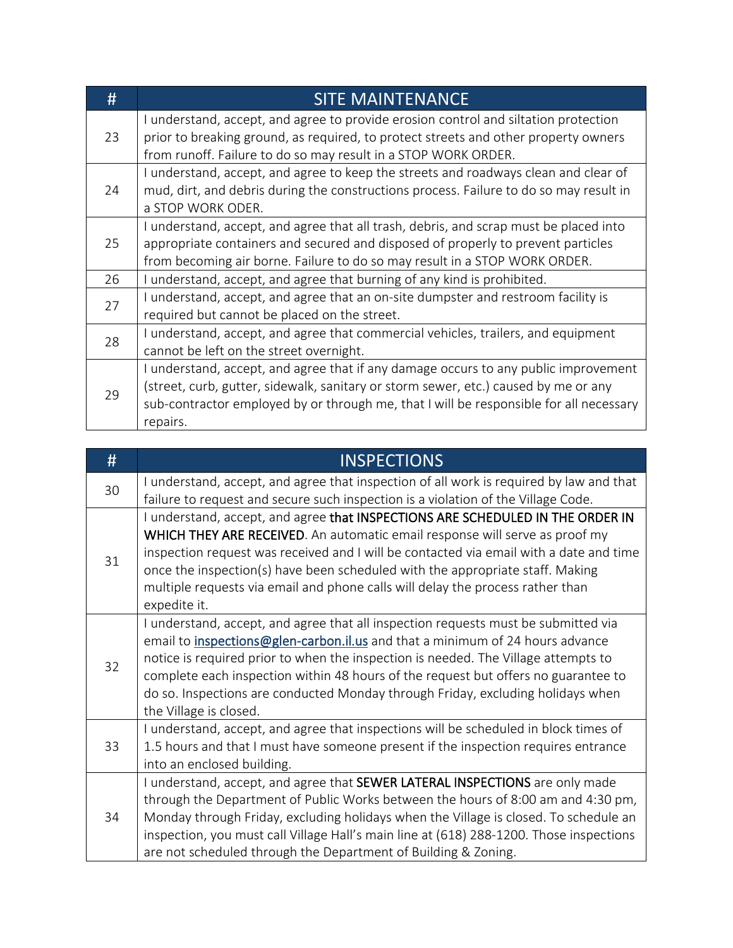| #  | <b>SITE MAINTENANCE</b>                                                                                                                                                                                                                                                          |  |  |
|----|----------------------------------------------------------------------------------------------------------------------------------------------------------------------------------------------------------------------------------------------------------------------------------|--|--|
| 23 | I understand, accept, and agree to provide erosion control and siltation protection<br>prior to breaking ground, as required, to protect streets and other property owners<br>from runoff. Failure to do so may result in a STOP WORK ORDER.                                     |  |  |
| 24 | I understand, accept, and agree to keep the streets and roadways clean and clear of<br>mud, dirt, and debris during the constructions process. Failure to do so may result in<br>a STOP WORK ODER.                                                                               |  |  |
| 25 | I understand, accept, and agree that all trash, debris, and scrap must be placed into<br>appropriate containers and secured and disposed of properly to prevent particles<br>from becoming air borne. Failure to do so may result in a STOP WORK ORDER.                          |  |  |
| 26 | I understand, accept, and agree that burning of any kind is prohibited.                                                                                                                                                                                                          |  |  |
| 27 | I understand, accept, and agree that an on-site dumpster and restroom facility is<br>required but cannot be placed on the street.                                                                                                                                                |  |  |
| 28 | I understand, accept, and agree that commercial vehicles, trailers, and equipment<br>cannot be left on the street overnight.                                                                                                                                                     |  |  |
| 29 | I understand, accept, and agree that if any damage occurs to any public improvement<br>(street, curb, gutter, sidewalk, sanitary or storm sewer, etc.) caused by me or any<br>sub-contractor employed by or through me, that I will be responsible for all necessary<br>repairs. |  |  |

| #  | <b>INSPECTIONS</b>                                                                                                                                                                                                                                                                                                                                                                                                                                           |  |  |
|----|--------------------------------------------------------------------------------------------------------------------------------------------------------------------------------------------------------------------------------------------------------------------------------------------------------------------------------------------------------------------------------------------------------------------------------------------------------------|--|--|
| 30 | I understand, accept, and agree that inspection of all work is required by law and that<br>failure to request and secure such inspection is a violation of the Village Code.                                                                                                                                                                                                                                                                                 |  |  |
| 31 | I understand, accept, and agree that INSPECTIONS ARE SCHEDULED IN THE ORDER IN<br>WHICH THEY ARE RECEIVED. An automatic email response will serve as proof my<br>inspection request was received and I will be contacted via email with a date and time<br>once the inspection(s) have been scheduled with the appropriate staff. Making<br>multiple requests via email and phone calls will delay the process rather than<br>expedite it.                   |  |  |
| 32 | I understand, accept, and agree that all inspection requests must be submitted via<br>email to inspections@glen-carbon.il.us and that a minimum of 24 hours advance<br>notice is required prior to when the inspection is needed. The Village attempts to<br>complete each inspection within 48 hours of the request but offers no guarantee to<br>do so. Inspections are conducted Monday through Friday, excluding holidays when<br>the Village is closed. |  |  |
| 33 | I understand, accept, and agree that inspections will be scheduled in block times of<br>1.5 hours and that I must have someone present if the inspection requires entrance<br>into an enclosed building.                                                                                                                                                                                                                                                     |  |  |
| 34 | I understand, accept, and agree that SEWER LATERAL INSPECTIONS are only made<br>through the Department of Public Works between the hours of 8:00 am and 4:30 pm,<br>Monday through Friday, excluding holidays when the Village is closed. To schedule an<br>inspection, you must call Village Hall's main line at (618) 288-1200. Those inspections<br>are not scheduled through the Department of Building & Zoning.                                        |  |  |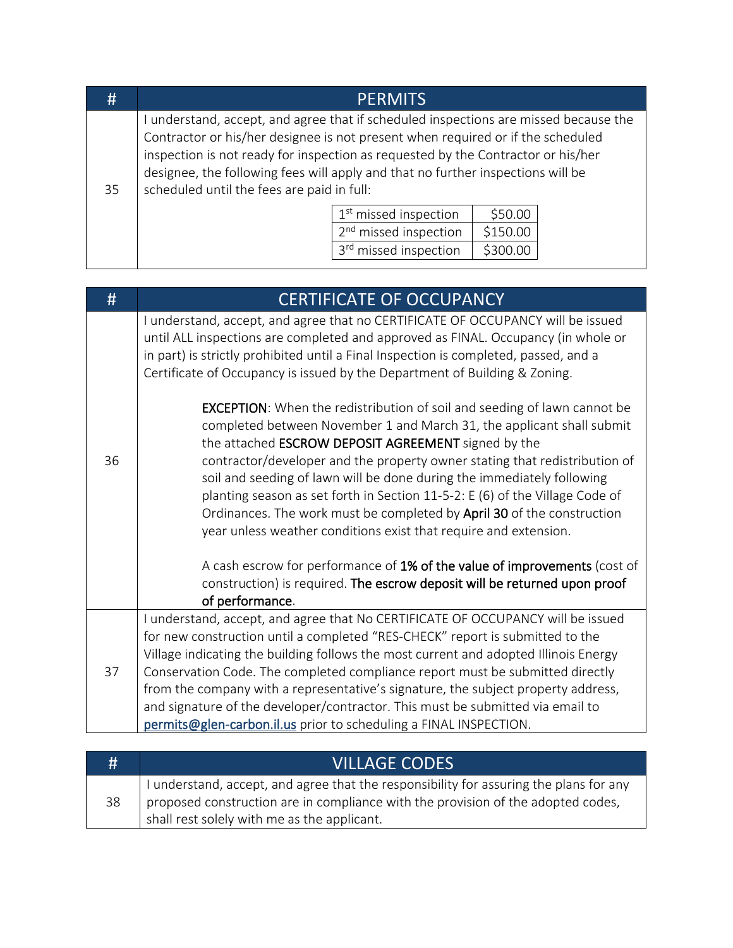| #                                                                                                                                                                                                                                                                                                                                                                                                  |  | <b>PERMITS</b>                    |          |  |
|----------------------------------------------------------------------------------------------------------------------------------------------------------------------------------------------------------------------------------------------------------------------------------------------------------------------------------------------------------------------------------------------------|--|-----------------------------------|----------|--|
| I understand, accept, and agree that if scheduled inspections are missed because the<br>Contractor or his/her designee is not present when required or if the scheduled<br>inspection is not ready for inspection as requested by the Contractor or his/her<br>designee, the following fees will apply and that no further inspections will be<br>scheduled until the fees are paid in full:<br>35 |  |                                   |          |  |
|                                                                                                                                                                                                                                                                                                                                                                                                    |  | 1 <sup>st</sup> missed inspection | \$50.00  |  |
|                                                                                                                                                                                                                                                                                                                                                                                                    |  | 2 <sup>nd</sup> missed inspection | \$150.00 |  |
|                                                                                                                                                                                                                                                                                                                                                                                                    |  | 3rd missed inspection             | \$300.00 |  |
|                                                                                                                                                                                                                                                                                                                                                                                                    |  |                                   |          |  |

| #  | <b>CERTIFICATE OF OCCUPANCY</b>                                                                                                                                                                                                                                                                                                                                                                                                                                                                                                                                                                       |
|----|-------------------------------------------------------------------------------------------------------------------------------------------------------------------------------------------------------------------------------------------------------------------------------------------------------------------------------------------------------------------------------------------------------------------------------------------------------------------------------------------------------------------------------------------------------------------------------------------------------|
| 36 | I understand, accept, and agree that no CERTIFICATE OF OCCUPANCY will be issued<br>until ALL inspections are completed and approved as FINAL. Occupancy (in whole or<br>in part) is strictly prohibited until a Final Inspection is completed, passed, and a<br>Certificate of Occupancy is issued by the Department of Building & Zoning.                                                                                                                                                                                                                                                            |
|    | <b>EXCEPTION:</b> When the redistribution of soil and seeding of lawn cannot be<br>completed between November 1 and March 31, the applicant shall submit<br>the attached ESCROW DEPOSIT AGREEMENT signed by the<br>contractor/developer and the property owner stating that redistribution of<br>soil and seeding of lawn will be done during the immediately following<br>planting season as set forth in Section 11-5-2: E (6) of the Village Code of<br>Ordinances. The work must be completed by April 30 of the construction<br>year unless weather conditions exist that require and extension. |
|    | A cash escrow for performance of 1% of the value of improvements (cost of<br>construction) is required. The escrow deposit will be returned upon proof<br>of performance.                                                                                                                                                                                                                                                                                                                                                                                                                             |
| 37 | I understand, accept, and agree that No CERTIFICATE OF OCCUPANCY will be issued<br>for new construction until a completed "RES-CHECK" report is submitted to the<br>Village indicating the building follows the most current and adopted Illinois Energy                                                                                                                                                                                                                                                                                                                                              |
|    | Conservation Code. The completed compliance report must be submitted directly<br>from the company with a representative's signature, the subject property address,<br>and signature of the developer/contractor. This must be submitted via email to<br>permits@glen-carbon.il.us prior to scheduling a FINAL INSPECTION.                                                                                                                                                                                                                                                                             |

| #  | <b>VILLAGE CODES</b>                                                                                                                                                                                                      |
|----|---------------------------------------------------------------------------------------------------------------------------------------------------------------------------------------------------------------------------|
| 38 | I understand, accept, and agree that the responsibility for assuring the plans for any<br>proposed construction are in compliance with the provision of the adopted codes,<br>shall rest solely with me as the applicant. |